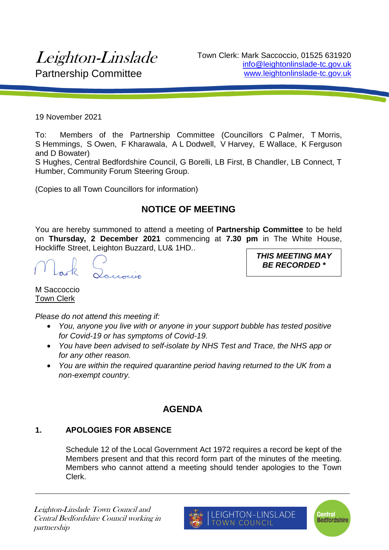# Leighton-Linslade Partnership Committee

Town Clerk: Mark Saccoccio, 01525 631920 info@leightonlinslade-tc.gov.uk www.leightonlinslade-tc.gov.uk

19 November 2021

To: Members of the Partnership Committee (Councillors C Palmer, T Morris, S Hemmings, S Owen, F Kharawala, A L Dodwell, V Harvey, E Wallace, K Ferguson and D Bowater)

S Hughes, Central Bedfordshire Council, G Borelli, LB First, B Chandler, LB Connect, T Humber, Community Forum Steering Group.

(Copies to all Town Councillors for information)

# **NOTICE OF MEETING**

You are hereby summoned to attend a meeting of **Partnership Committee** to be held on **Thursday, 2 December 2021** commencing at **7.30 pm** in The White House, Hockliffe Street, Leighton Buzzard, LU& 1HD..

*THIS MEETING MAY BE RECORDED \**

M Saccoccio Town Clerk

*Please do not attend this meeting if:*

- *You, anyone you live with or anyone in your support bubble has tested positive for Covid-19 or has symptoms of Covid-19.*
- *You have been advised to self-isolate by NHS Test and Trace, the NHS app or for any other reason.*
- *You are within the required quarantine period having returned to the UK from a non-exempt country.*

## **AGENDA**

### **1. APOLOGIES FOR ABSENCE**

Schedule 12 of the Local Government Act 1972 requires a record be kept of the Members present and that this record form part of the minutes of the meeting. Members who cannot attend a meeting should tender apologies to the Town Clerk.



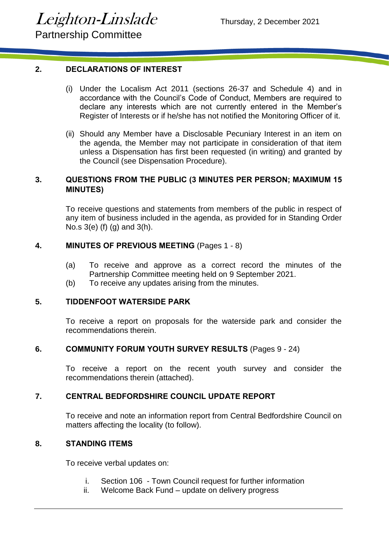Partnership Committee

#### **2. DECLARATIONS OF INTEREST**

- (i) Under the Localism Act 2011 (sections 26-37 and Schedule 4) and in accordance with the Council's Code of Conduct, Members are required to declare any interests which are not currently entered in the Member's Register of Interests or if he/she has not notified the Monitoring Officer of it.
- (ii) Should any Member have a Disclosable Pecuniary Interest in an item on the agenda, the Member may not participate in consideration of that item unless a Dispensation has first been requested (in writing) and granted by the Council (see Dispensation Procedure).

#### **3. QUESTIONS FROM THE PUBLIC (3 MINUTES PER PERSON; MAXIMUM 15 MINUTES)**

To receive questions and statements from members of the public in respect of any item of business included in the agenda, as provided for in Standing Order No.s 3(e) (f) (g) and 3(h).

#### **4. MINUTES OF PREVIOUS MEETING** (Pages 1 - 8)

- (a) To receive and approve as a correct record the minutes of the Partnership Committee meeting held on 9 September 2021.
- (b) To receive any updates arising from the minutes.

#### **5. TIDDENFOOT WATERSIDE PARK**

To receive a report on proposals for the waterside park and consider the recommendations therein.

#### **6. COMMUNITY FORUM YOUTH SURVEY RESULTS** (Pages 9 - 24)

To receive a report on the recent youth survey and consider the recommendations therein (attached).

#### **7. CENTRAL BEDFORDSHIRE COUNCIL UPDATE REPORT**

To receive and note an information report from Central Bedfordshire Council on matters affecting the locality (to follow).

#### **8. STANDING ITEMS**

To receive verbal updates on:

- i. Section 106 Town Council request for further information
- ii. Welcome Back Fund update on delivery progress